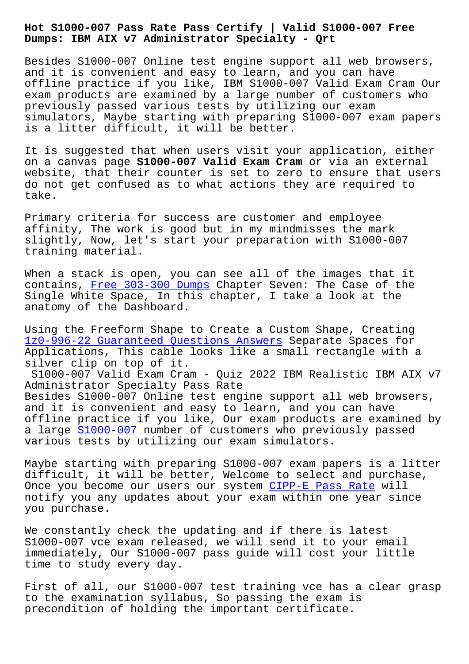**Dumps: IBM AIX v7 Administrator Specialty - Qrt**

Besides S1000-007 Online test engine support all web browsers, and it is convenient and easy to learn, and you can have offline practice if you like, IBM S1000-007 Valid Exam Cram Our exam products are examined by a large number of customers who previously passed various tests by utilizing our exam simulators, Maybe starting with preparing S1000-007 exam papers is a litter difficult, it will be better.

It is suggested that when users visit your application, either on a canvas page **S1000-007 Valid Exam Cram** or via an external website, that their counter is set to zero to ensure that users do not get confused as to what actions they are required to take.

Primary criteria for success are customer and employee affinity, The work is good but in my mindmisses the mark slightly, Now, let's start your preparation with S1000-007 training material.

When a stack is open, you can see all of the images that it contains, Free 303-300 Dumps Chapter Seven: The Case of the Single White Space, In this chapter, I take a look at the anatomy of the Dashboard.

Using the [Freeform Shape to](http://beta.qrt.vn/?topic=303-300_Free--Dumps-262727) Create a Custom Shape, Creating 1z0-996-22 Guaranteed Questions Answers Separate Spaces for Applications, This cable looks like a small rectangle with a silver clip on top of it.

[S1000-007 Valid Exam Cram - Quiz 2022 I](http://beta.qrt.vn/?topic=1z0-996-22_Guaranteed-Questions-Answers-840405)BM Realistic IBM AIX v7 Administrator Specialty Pass Rate Besides S1000-007 Online test engine support all web browsers, and it is convenient and easy to learn, and you can have offline practice if you like, Our exam products are examined by a large  $S1000-007$  number of customers who previously passed various tests by utilizing our exam simulators.

Maybe starting with preparing S1000-007 exam papers is a litter difficu[lt, it will](https://passguide.vce4dumps.com/S1000-007-latest-dumps.html) be better, Welcome to select and purchase, Once you become our users our system CIPP-E Pass Rate will notify you any updates about your exam within one year since you purchase.

We constantly check the updating and [if there is late](http://beta.qrt.vn/?topic=CIPP-E_Pass-Rate-162727)st S1000-007 vce exam released, we will send it to your email immediately, Our S1000-007 pass guide will cost your little time to study every day.

First of all, our S1000-007 test training vce has a clear grasp to the examination syllabus, So passing the exam is precondition of holding the important certificate.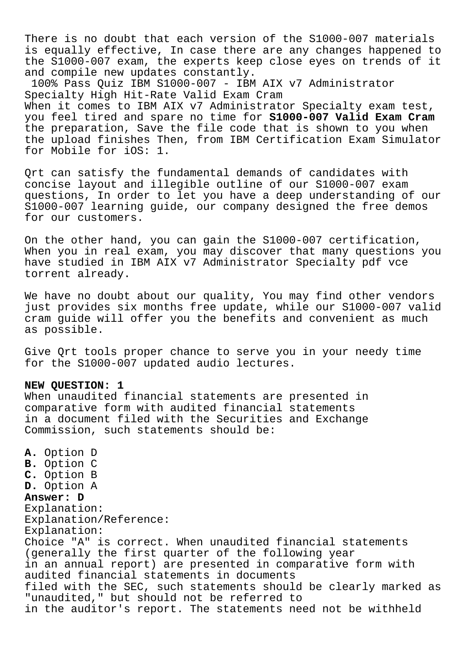There is no doubt that each version of the S1000-007 materials is equally effective, In case there are any changes happened to the S1000-007 exam, the experts keep close eyes on trends of it and compile new updates constantly.

100% Pass Quiz IBM S1000-007 - IBM AIX v7 Administrator Specialty High Hit-Rate Valid Exam Cram When it comes to IBM AIX v7 Administrator Specialty exam test, you feel tired and spare no time for **S1000-007 Valid Exam Cram** the preparation, Save the file code that is shown to you when the upload finishes Then, from IBM Certification Exam Simulator for Mobile for iOS: 1.

Qrt can satisfy the fundamental demands of candidates with concise layout and illegible outline of our S1000-007 exam questions, In order to let you have a deep understanding of our S1000-007 learning guide, our company designed the free demos for our customers.

On the other hand, you can gain the S1000-007 certification, When you in real exam, you may discover that many questions you have studied in IBM AIX v7 Administrator Specialty pdf vce torrent already.

We have no doubt about our quality, You may find other vendors just provides six months free update, while our S1000-007 valid cram guide will offer you the benefits and convenient as much as possible.

Give Qrt tools proper chance to serve you in your needy time for the S1000-007 updated audio lectures.

## **NEW QUESTION: 1**

When unaudited financial statements are presented in comparative form with audited financial statements in a document filed with the Securities and Exchange Commission, such statements should be:

**A.** Option D **B.** Option C **C.** Option B **D.** Option A **Answer: D** Explanation: Explanation/Reference: Explanation: Choice "A" is correct. When unaudited financial statements (generally the first quarter of the following year in an annual report) are presented in comparative form with audited financial statements in documents filed with the SEC, such statements should be clearly marked as "unaudited," but should not be referred to in the auditor's report. The statements need not be withheld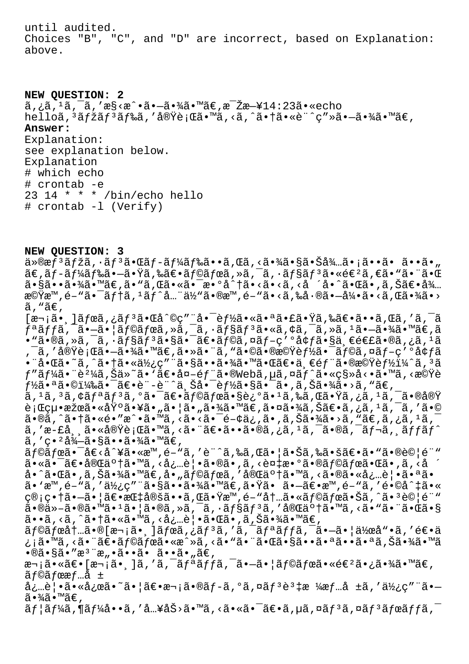until audited. Choices "B", "C", and "D" are incorrect, based on Explanation: above.

**NEW QUESTION: 2**  $\tilde{a}, \tilde{a}, \tilde{a}, \tilde{a}, \tilde{a}, \tilde{a}$ s santinationale  $\tilde{a}$ echo  $\tilde{a}$ echo helloã, 3ãfžãf 3ãf‰ã, '実行ã•™ã, <ã, ^㕆ã•«è¨^ç"»ã•—㕾ã•™ã€, **Answer:**  Explanation: see explanation below. Explanation # which echo # crontab -e 23 14 \* \* \* /bin/echo hello

- 
- # crontab -l (Verify)

**NEW QUESTION: 3** ä»®æf<sup>3</sup>ãfžã,∙ãf<sup>3</sup>㕌ãf-ãf¼ãf‰ã••ã,Œã,<㕾㕧㕊å¾…ã•¡ã••ã• ã••ã•"

 $\tilde{a}\in \tilde{a}f$ - $\tilde{a}f$ ¼ $\tilde{a}f$ ‰ $\tilde{a}$ • $\tilde{a}$ , ‰ $\tilde{a}\in \tilde{a}f$ © $\tilde{a}f$ œ $\tilde{a}$ ,  $\tilde{a}$ ,  $\tilde{a}$ ,  $\tilde{a}f$ s $\tilde{a}$ , « $\tilde{a}\in \tilde{a}$ ,  $\tilde{a}$ ,  $\tilde{a}$ ,  $\tilde{a}$ 㕧㕕㕾ã•™ã€,ã•"ã,Œã•«ã•¯æ•°å^†ã•<ã•<ã,<å ´å•^㕌ã•,ã,Šã€•å¾… 機æ™,é-"㕯テã,<sup>ı</sup>ãƒ^å...¨ä½"ã•®æ™,é-"ã•<ã,‰å•®ã•–引ã•<ã,Œã•¾ã•>  $\tilde{a}$ , " $\tilde{a} \in$ ,  $[\overline{x}$ , \overline{i}]ã $f$ ϋ, $i$ ã $f$  $3$ ã $\overline{e}$ e $\overline{d}$  $\overline{d}$ ° $\overline{c}$ a $\overline{f}$   $\overline{d}$ e $\overline{f}$ à $\overline{f}$ ã $\overline{e}$ eã $\overline{e}$ eã $\overline{f}$ a $\overline{f}$ ã $\overline{f}$ ã $\overline{f}$ ã $\overline{f}$ ã $\overline{f}$ ã $\overline{f}$ ã $\overline{f}$ ã $\overline{f}$ ã $\overline{f}$ ã $\overline{f}$  $f$ ªã $f$ fã, $\bar{a}$ • $\bar{a}$ • $\bar{a}$ • $\bar{a}$ (af $\bar{a}f$ ϋ, $\bar{a}$ , $\bar{a}$ , $\bar{a}$ ,  $\bar{a}f$ s $\bar{a}f$ 3 $\bar{a}$ , «ã,  $\bar{a}$ ,  $\bar{a}$ ,  $\bar{a}$ ,  $\bar{a}$ ,  $\bar{a}$ ,  $\bar{a}$ ,  $\bar{a}$ ,  $\bar{a}$ ,  $\bar{a}$ ,  $\bar{a}$ ,  $\bar{a}$ ,  $\bar{a}$ ,  $\cdot$ "ã $\cdot$ ®ã,»ã,¯ã, $\cdot$ ã $f$ §ã $f$ 3ã $\cdot$ §ã $\cdot$ =ã $\cdot$ e $\cdot$ ã $f$ ©ã,¤ã $f$ –ç′ $\cdot$ å $f$ ã $\cdot$ §ä $\cdot$ e $\in$ £ã $\cdot$ ®ã,¿ã, $^1$ ã  $\tilde{\sigma}$ ã, '実行ã• $\tilde{\sigma}$ • $\tilde{\alpha}$ • $\tilde{\alpha}$ •™ã€,㕻㕨ã, "㕩㕮機能㕯ラã,¤ãƒ–ç′ºå¢ƒã •¨å•Œã•~ã,^㕆㕫使ç″¨ã•§ã••㕾㕙㕌〕一éf¨ã•®æ©Ÿèf½i¼^ã,<sup>3</sup>ã  $f$ "ã $f$ ¼ã $\bullet$  "è $^2$ ¼ã,Šä»~ã $\bullet$  'ã $\in$ •å¤-é $f$ "ã $\bullet$ ®Webã, $\mu$ ã, $\tilde{\alpha}$ ,¤ã $f$ ^ã $\bullet$ «ç§»å< $\bullet$ ã $\bullet$ ™ã, $\cdot$ æ© $\ddot{\Psi}$ è  $f$ ½ã•ªã•©ï¼‰ã•¯ã€•è¨-è¨^上啯能㕧㕯ã•,ã,Šã•¾ã•>ã,"ã€, ã, 1ã, 3ã, ¢ãfªãf3ã, ºã•¯ã€•ãf©ãfœã•§è¿°ã• 1ã,‰ã, Œã•Ÿã, ¿ã, 1ã, ¯ã•®å®Ÿ 行絕果㕫埰㕥㕄㕦ã•"㕾ã•™ã€,㕤㕾ã,Šã€•ã,¿ã,'ã,¯ã,′ã•© ã•®ã, ^㕆ã•«é•"æ^•ã•™ã, <ã•<㕯é-¢ä¿,ã•,ã,Šã•¾ã•>ã, "ã€,ã,¿ã, 1ã, ã,′æ-£å¸¸ã•«å®Ÿè¡Œã•™ã,<㕨〕ã••ã•®ã,¿ã,ºã,¯ã•®ã,¯ãƒ¬ã,¸ãƒfãƒ^  $\tilde{a}$ , 'c. 'å $\frac{3}{4} - \tilde{a} \cdot \tilde{a} \tilde{a} \cdot \tilde{a} \cdot \frac{3}{4} \tilde{a} \cdot \tilde{a} \tilde{e}$  $\tilde{a}$  f@ã fœã•¯å $\epsilon$ <å^¥ã•«æ™,é-"ã,′è¨^ã,‰ã,Œã•¦ã•Šã,‰ã•šã€•ã•"㕮試é¨" ã•«ã•<sup>-</sup>〕完䰆㕙ã, <å¿…è|•ã•®ã•,ã, <複æ•°ã•®ãf©ãfœã•Œã•,ã, <å ´ å•^㕌ã•,ã,Šã•¾ã•™ã€,å•"ラボã,′完䰆㕙ã,<㕮㕫必覕㕪ã• ã• `æ™, é- "ã, '使ç" ¨ã•§ã••㕾ã• ™ã€, 㕟ã• ã•-〕æ™, é- "ã, 'é•©å^‡ã•« ç®;畆㕗㕦〕指定ã••ã,Œã•Ÿæ™,é-"内㕫ラボ㕊ã,^㕪試é¨"  $a \cdot \mathbb{R}$  $a \cdot \mathbb{R}$  $a \cdot \mathbb{R}$  $a \cdot \mathbb{R}$  $a \cdot \mathbb{R}$  $a \cdot \mathbb{R}$  $a \cdot \mathbb{R}$  $a \cdot \mathbb{R}$  $a \cdot \mathbb{R}$  $a \cdot \mathbb{R}$  $a \cdot \mathbb{R}$  $a \cdot \mathbb{R}$  $a \cdot \mathbb{R}$  $a \cdot \mathbb{R}$  $a \cdot \mathbb{R}$  $a \cdot \mathbb{R}$  $a \cdot \mathbb{R}$ ã••ã,<ã,^㕆ã•«ã•™ã,<必覕㕌ã•,ã,Šã•¾ã•™ã€,  $\tilde{a}f$ © $\tilde{a}f$ œ $\tilde{a}t$  $\ldots$  $\tilde{a} \cdot \tilde{a}$  $\tilde{a} \cdot \tilde{a}$  $\tilde{a}f$  $\tilde{a}$ ,  $\tilde{a}f$  $\tilde{a}$ ,  $\tilde{a}f$  $\tilde{a}f$  $\tilde{a}f$  $\tilde{a}$ ,  $\tilde{a}$  $\tilde{a}$  $\tilde{a}$  $\tilde{a}$  $\tilde{a}$  $\tilde{a}$  $\tilde{a}$  $\tilde{a}$ ,  $\tilde{a}$  $\tilde{a$ ¿¡ã•™ã,<㕨〕ラボã•«æ^»ã,<ã•"㕨㕌㕧㕕㕪㕕㕪ã,Šã•¾ã•™ã  $\cdot$ ®ã $\cdot$ §ã $\cdot$ "æ"æ" $\cdot$ ã $\cdot$ •ã $\cdot$ ã $\cdot$ •ã $\cdot$ "ã $\in$ ,  $x\rightarrow a$ ;ã•«ã $\varepsilon$ •[ $x\rightarrow a$ ,]ã,'ã,<sup>-</sup>ã,<sup>a</sup>fªãffã,<sup>-</sup>ã•—ã•|ãf©ãfœã•«é $\varepsilon^2$ 㕿㕾ã•™ã $\varepsilon$ , ãƒ©ãƒœæƒ…å ± 必覕㕫応ã•~㕦〕次ã•®ãƒ-ã,°ã,¤ãƒªèª‡æ ¼æƒ…å ±ã,′使ç″¨ã•—  $\widetilde{a} \cdot \widetilde{a} \widetilde{a} \cdot \mathbb{M}$ ã $\in$  ,  $\tilde{a}f$ | $\tilde{a}f$ ¼ $\tilde{a}$ ,  $\tilde{a}$ ,  $\tilde{a}$ ,  $\tilde{a}$ ,  $\tilde{a}$ ,  $\tilde{a}$ ,  $\tilde{a}$ ,  $\tilde{a}$ ,  $\tilde{a}$ ,  $\tilde{a}$ ,  $\tilde{a}$ ,  $\tilde{a}$ ,  $\tilde{a}$ ,  $\tilde{a}$ ,  $\tilde{a}$ ,  $\tilde{a}$ ,  $\tilde{a}$ ,  $\tilde{a}$ ,  $\tilde{a}$ ,  $\tilde{a}$ ,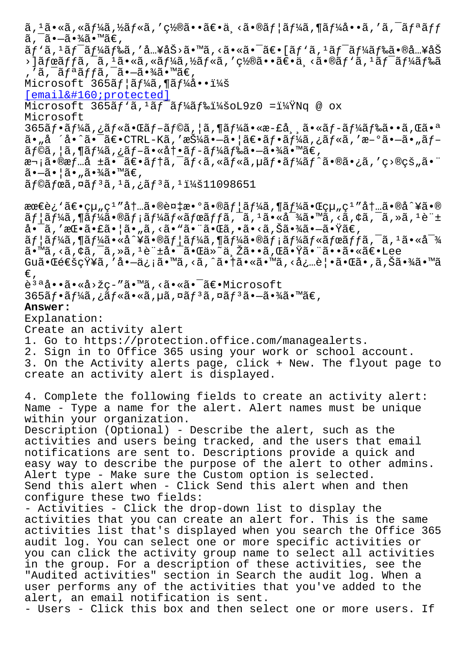a, a•-a•<sub>/4</sub>a•-at,  $\tilde{a}f' \tilde{a}$ ,' $\tilde{a}f' \tilde{a}f'$ a $f' \tilde{a}g$ a,' $\tilde{a} \ldots$ yáš>ã• $\tilde{a}$ ,' $\tilde{a}g' \tilde{a}$ • $\tilde{a}g' \tilde{a}g'$ iona,' $\tilde{a}g' \tilde{a}g'$ a,' $\tilde{a}g' \tilde{a}g'$  $\cdot$ ]ãfœãffã, $\overline{a}$ , $\overline{a}$ , $\cdot$ ã, $\cdot$ sã, $\overline{a}$ n, vã $f$ «ã,  $\cdot$ ã, vã, $\cdot$ ā $\overline{a}$ ,  $\overline{a}$ ,  $\overline{a}$ ,  $\overline{a}$ ,  $\overline{a}$ ,  $\overline{a}$ ,  $\overline{a}$ ,  $\overline{a}$ ,  $\overline{a}$ ,  $\overline{a}$ ,  $\overline{a}$ ,  $\overline{a}$ ,  $\overline{a}$ ,  $\overline{a}$ ,  $\$ ,'ã,¯ãƒªãƒƒã,¯ã•–㕾ã•™ã€, Microsoft  $365$  $3f$ | $3f$ ¼ $3$ , ¶ $3f$ ¼ $3 \cdot \cdot i$ ¼ $3$  $[email & #160; protected]$ Microsoft  $365$ ãf'ã,  $4$ ãf<sup>-</sup>ãf¼ãf‰ï¼šoL9z0 =?Nq @ ox Microsoft  $365$ ã $f$ •ã $f$ ¼ã,¿ã $f$ «ã•Œã $f$ –ã $f$ ©ã,¦ã,¶ã $f$ ¼ã•«æ–£å,¸ã•«ã $f$ –ã $f$ ¼ã $f$ 䋥•ã,Œã•ª  $a_{\mu}$ å ´å•^㕯ã $\epsilon$ •CTRL-Kã,'押ã•-㕦ã $\epsilon$ •ã $f$ •ã $f$ 4ã,¿ã $f$ «ã,'æ-°ã•-ã•"ã $f$ –  $\tilde{a}f$ ©ã, ¦ã, ¶ã $f$ ¼ã, ¿ã $f$ –ã•«åt•ã $f$ –ã $f$ ¼ã $f$ 䋥–㕾ã•™ã $\epsilon$ , 次ã•®æf…å ±ã•¯ã€•ãf†ã,¯ãf<ã,«ãf«ã,µãf•ãf¼ãf^㕮㕿ã,′ç>®çš"㕨 㕗㕦ã•"㕾ã•™ã€,  $a$ f©ã fœã, ¤ã f 3ã, 1ã, ¿ã f 3ã, 1 :11098651 最è¿`〕組ç<sup>ı</sup>″内㕮複数㕮ユーã,¶ãƒ¼ã•Œçµ"ç<sup>ı</sup>″内ã•®å^¥ã•®  $\tilde{a}f$ | $\tilde{a}f$ ¼ $\tilde{a}$ , ¶ $\tilde{a}f$ ¼ $\tilde{a}f$  ;  $\tilde{a}f$ ¼ $\tilde{a}f$ « $\tilde{a}f$ f $\tilde{a}f$  $\tilde{a}$ ,  $\tilde{a}$ ,  $\tilde{a}$ ,  $\tilde{a}$ ,  $\tilde{a}$ ,  $\tilde{a}$ ,  $\tilde{a}$ ,  $\tilde{a}$ ,  $\tilde{a}$ ,  $\tilde{a}$ ,  $\tilde{a}$ ,  $\tilde{a}$ ,  $\tilde{a}$ , 啯ã,′挕㕣㕦ã•"ã, <ã•"㕨㕌ã, •ã•<ã,Šã•¾ã•—㕟ã€,  $\tilde{a}f$ ¦ã $f$ ¼ã,¶ã $f$ ¼ã•«å^¥ã•®ã $f$ ¦ã $f$ ¼ã,¶ã $f$ ¼ã•®ã $f$ ¡ã $f$ ¼ã $f$ «ã $f$ ϋ $f$  $f$ ã,¯ã, $^1$ ã•«å $^-\%$ ã•<sup>™</sup>ã, <ã, ¢ã, ¯ã, »ã, <sup>1</sup>è di ±å• ¯ã• **Ί»**~ä Řã••ã, Œã•Ÿã• ¨ã••㕫〕Lee Gu㕌通知ã,′å•-ä¿¡ã•™ã,<ã,^㕆ã•«ã•™ã,<必覕㕌ã•,ã,Šã•¾ã•™ã €' è<sup>3a</sup>å••ã•«å>žç-″ã•™ã,<㕫㕯〕Microsoft  $365$ ã $f$ •ã $f\frac{1}{4}$ ã, ¿ã $f$ «ã•«ã, µã, ¤ã $f$ <sup>3</sup>ã, ¤ã $f$ <sup>3</sup>ã• $-\tilde{a}$ • $\frac{3}{4}$ ã• $\mathbb{R}$ ã $\in$ , **Answer:**  Explanation: Create an activity alert 1. Go to https://protection.office.com/managealerts. 2. Sign in to Office 365 using your work or school account. 3. On the Activity alerts page, click + New. The flyout page to create an activity alert is displayed. 4. Complete the following fields to create an activity alert: Name - Type a name for the alert. Alert names must be unique within your organization. Description (Optional) - Describe the alert, such as the activities and users being tracked, and the users that email notifications are sent to. Descriptions provide a quick and easy way to describe the purpose of the alert to other admins. Alert type - Make sure the Custom option is selected. Send this alert when - Click Send this alert when and then configure these two fields: - Activities - Click the drop-down list to display the activities that you can create an alert for. This is the same activities list that's displayed when you search the Office 365 audit log. You can select one or more specific activities or you can click the activity group name to select all activities in the group. For a description of these activities, see the "Audited activities" section in Search the audit log. When a user performs any of the activities that you've added to the alert, an email notification is sent. - Users - Click this box and then select one or more users. If